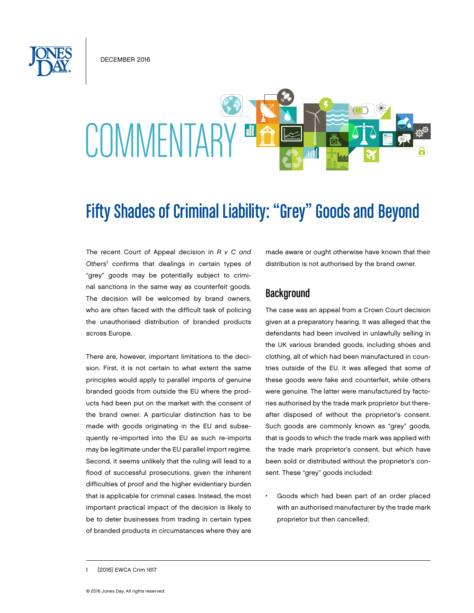December 2016

# **COMMENTARY**

## Fifty Shades of Criminal Liability: "Grey" Goods and Beyond

The recent Court of Appeal decision in *R v C and Others*<sup>1</sup> confirms that dealings in certain types of "grey" goods may be potentially subject to criminal sanctions in the same way as counterfeit goods. The decision will be welcomed by brand owners, who are often faced with the difficult task of policing the unauthorised distribution of branded products across Europe.

There are, however, important limitations to the decision. First, it is not certain to what extent the same principles would apply to parallel imports of genuine branded goods from outside the EU where the products had been put on the market with the consent of the brand owner. A particular distinction has to be made with goods originating in the EU and subsequently re-imported into the EU as such re-imports may be legitimate under the EU parallel import regime. Second, it seems unlikely that the ruling will lead to a flood of successful prosecutions, given the inherent difficulties of proof and the higher evidentiary burden that is applicable for criminal cases. Instead, the most important practical impact of the decision is likely to be to deter businesses from trading in certain types of branded products in circumstances where they are

made aware or ought otherwise have known that their distribution is not authorised by the brand owner.

#### **Background**

The case was an appeal from a Crown Court decision given at a preparatory hearing. It was alleged that the defendants had been involved in unlawfully selling in the UK various branded goods, including shoes and clothing, all of which had been manufactured in countries outside of the EU. It was alleged that some of these goods were fake and counterfeit, while others were genuine. The latter were manufactured by factories authorised by the trade mark proprietor but thereafter disposed of without the proprietor's consent. Such goods are commonly known as "grey" goods, that is goods to which the trade mark was applied with the trade mark proprietor's consent, but which have been sold or distributed without the proprietor's consent. These "grey" goods included:

Goods which had been part of an order placed with an authorised manufacturer by the trade mark proprietor but then cancelled;

<sup>[2016]</sup> EWCA Crim 1617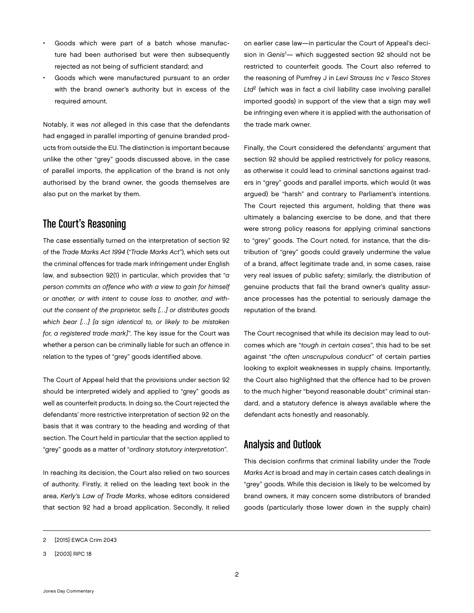- Goods which were part of a batch whose manufacture had been authorised but were then subsequently rejected as not being of sufficient standard; and
- Goods which were manufactured pursuant to an order with the brand owner's authority but in excess of the required amount.

Notably, it was *not* alleged in this case that the defendants had engaged in parallel importing of genuine branded products from outside the EU. The distinction is important because unlike the other "grey" goods discussed above, in the case of parallel imports, the application of the brand is not only authorised by the brand owner, the goods themselves are also put on the market by them.

### The Court's Reasoning

The case essentially turned on the interpretation of section 92 of the *Trade Marks Act 1994* ("*Trade Marks Act*"), which sets out the criminal offences for trade mark infringement under English law, and subsection 92(1) in particular, which provides that "*a person commits an offence who with a view to gain for himself or another, or with intent to cause loss to another, and without the consent of the proprietor, sells […] or distributes goods which bear […] [a sign identical to, or likely to be mistaken for, a registered trade mark]*". The key issue for the Court was whether a person can be criminally liable for such an offence in relation to the types of "grey" goods identified above.

The Court of Appeal held that the provisions under section 92 should be interpreted widely and applied to "grey" goods as well as counterfeit products. In doing so, the Court rejected the defendants' more restrictive interpretation of section 92 on the basis that it was contrary to the heading and wording of that section. The Court held in particular that the section applied to "grey" goods as a matter of "*ordinary statutory interpretation*".

In reaching its decision, the Court also relied on two sources of authority. Firstly, it relied on the leading text book in the area, *Kerly's Law of Trade Marks*, whose editors considered that section 92 had a broad application. Secondly, it relied on earlier case law—in particular the Court of Appeal's decision in *Genis*<sup>1</sup> — which suggested section 92 should not be restricted to counterfeit goods. The Court also referred to the reasoning of Pumfrey J in *Levi Strauss Inc v Tesco Stores Ltd*2 (which was in fact a civil liability case involving parallel imported goods) in support of the view that a sign may well be infringing even where it is applied with the authorisation of the trade mark owner.

Finally, the Court considered the defendants' argument that section 92 should be applied restrictively for policy reasons, as otherwise it could lead to criminal sanctions against traders in "grey" goods and parallel imports, which would (it was argued) be "harsh" and contrary to Parliament's intentions. The Court rejected this argument, holding that there was ultimately a balancing exercise to be done, and that there were strong policy reasons for applying criminal sanctions to "grey" goods. The Court noted, for instance, that the distribution of "grey" goods could gravely undermine the value of a brand, affect legitimate trade and, in some cases, raise very real issues of public safety; similarly, the distribution of genuine products that fail the brand owner's quality assurance processes has the potential to seriously damage the reputation of the brand.

The Court recognised that while its decision may lead to outcomes which are "*tough in certain cases*", this had to be set against "*the often unscrupulous conduct*" of certain parties looking to exploit weaknesses in supply chains. Importantly, the Court also highlighted that the offence had to be proven to the much higher "beyond reasonable doubt" criminal standard, and a statutory defence is always available where the defendant acts honestly and reasonably.

#### Analysis and Outlook

This decision confirms that criminal liability under the *Trade Marks Act* is broad and may in certain cases catch dealings in "grey" goods. While this decision is likely to be welcomed by brand owners, it may concern some distributors of branded goods (particularly those lower down in the supply chain)

<sup>2</sup> [2015] EWCA Crim 2043

<sup>3</sup> [2003] RPC 18